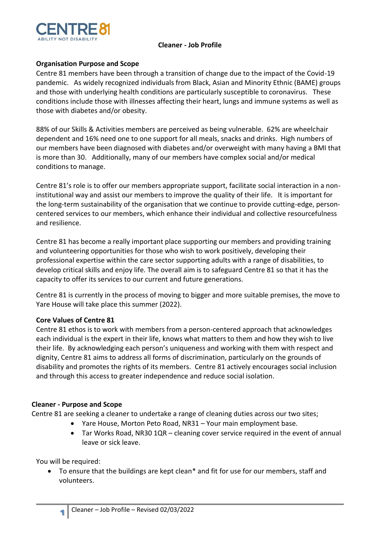

### **Cleaner - Job Profile**

# **Organisation Purpose and Scope**

Centre 81 members have been through a transition of change due to the impact of the Covid-19 pandemic. As widely recognized individuals from Black, Asian and Minority Ethnic (BAME) groups and those with underlying health conditions are particularly susceptible to coronavirus. These conditions include those with illnesses affecting their heart, lungs and immune systems as well as those with diabetes and/or obesity.

88% of our Skills & Activities members are perceived as being vulnerable. 62% are wheelchair dependent and 16% need one to one support for all meals, snacks and drinks. High numbers of our members have been diagnosed with diabetes and/or overweight with many having a BMI that is more than 30. Additionally, many of our members have complex social and/or medical conditions to manage.

Centre 81's role is to offer our members appropriate support, facilitate social interaction in a noninstitutional way and assist our members to improve the quality of their life. It is important for the long-term sustainability of the organisation that we continue to provide cutting-edge, personcentered services to our members, which enhance their individual and collective resourcefulness and resilience.

Centre 81 has become a really important place supporting our members and providing training and volunteering opportunities for those who wish to work positively, developing their professional expertise within the care sector supporting adults with a range of disabilities, to develop critical skills and enjoy life. The overall aim is to safeguard Centre 81 so that it has the capacity to offer its services to our current and future generations.

Centre 81 is currently in the process of moving to bigger and more suitable premises, the move to Yare House will take place this summer (2022).

#### **Core Values of Centre 81**

Centre 81 ethos is to work with members from a person-centered approach that acknowledges each individual is the expert in their life, knows what matters to them and how they wish to live their life. By acknowledging each person's uniqueness and working with them with respect and dignity, Centre 81 aims to address all forms of discrimination, particularly on the grounds of disability and promotes the rights of its members. Centre 81 actively encourages social inclusion and through this access to greater independence and reduce social isolation.

#### **Cleaner - Purpose and Scope**

Centre 81 are seeking a cleaner to undertake a range of cleaning duties across our two sites;

- Yare House, Morton Peto Road, NR31 Your main employment base.
- Tar Works Road, NR30 1QR cleaning cover service required in the event of annual leave or sick leave.

You will be required:

**1**

• To ensure that the buildings are kept clean\* and fit for use for our members, staff and volunteers.